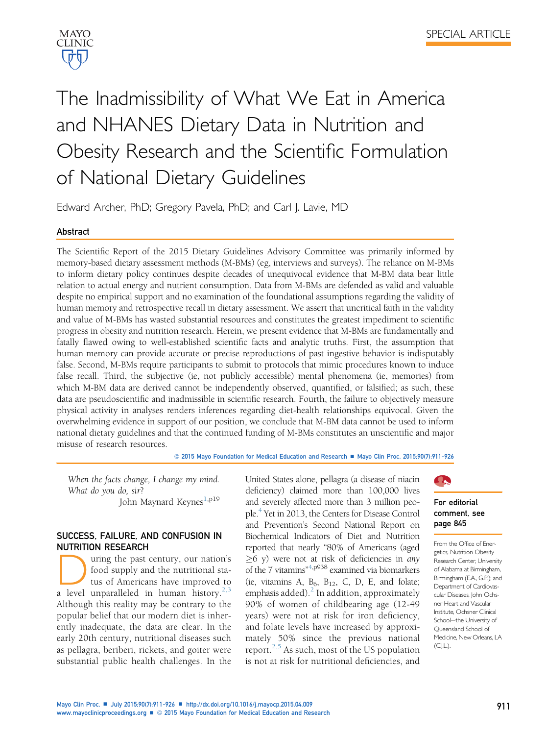

# The Inadmissibility of What We Eat in America and NHANES Dietary Data in Nutrition and Obesity Research and the Scientific Formulation of National Dietary Guidelines

Edward Archer, PhD; Gregory Pavela, PhD; and Carl J. Lavie, MD

# Abstract

The Scientific Report of the 2015 Dietary Guidelines Advisory Committee was primarily informed by memory-based dietary assessment methods (M-BMs) (eg, interviews and surveys). The reliance on M-BMs to inform dietary policy continues despite decades of unequivocal evidence that M-BM data bear little relation to actual energy and nutrient consumption. Data from M-BMs are defended as valid and valuable despite no empirical support and no examination of the foundational assumptions regarding the validity of human memory and retrospective recall in dietary assessment. We assert that uncritical faith in the validity and value of M-BMs has wasted substantial resources and constitutes the greatest impediment to scientific progress in obesity and nutrition research. Herein, we present evidence that M-BMs are fundamentally and fatally flawed owing to well-established scientific facts and analytic truths. First, the assumption that human memory can provide accurate or precise reproductions of past ingestive behavior is indisputably false. Second, M-BMs require participants to submit to protocols that mimic procedures known to induce false recall. Third, the subjective (ie, not publicly accessible) mental phenomena (ie, memories) from which M-BM data are derived cannot be independently observed, quantified, or falsified; as such, these data are pseudoscientific and inadmissible in scientific research. Fourth, the failure to objectively measure physical activity in analyses renders inferences regarding diet-health relationships equivocal. Given the overwhelming evidence in support of our position, we conclude that M-BM data cannot be used to inform national dietary guidelines and that the continued funding of M-BMs constitutes an unscientific and major misuse of research resources.

© 2015 Mayo Foundation for Medical Education and Research ■ Mayo Clin Proc. 2015;90(7):911-926

When the facts change, I change my mind. What do you do, sir? John Maynard Keynes<sup>[1](#page-12-0),p19</sup>

# SUCCESS, FAILURE, AND CONFUSION IN NUTRITION RESEARCH

Using the past century, our nation's<br>food supply and the nutritional status of Americans have improved to<br>a level unparalleled in human history  $^{2,3}$ food supply and the nutritional status of Americans have improved to a level unparalleled in human history.<sup>[2,3](#page-12-0)</sup> Although this reality may be contrary to the popular belief that our modern diet is inherently inadequate, the data are clear. In the early 20th century, nutritional diseases such as pellagra, beriberi, rickets, and goiter were substantial public health challenges. In the

United States alone, pellagra (a disease of niacin deficiency) claimed more than 100,000 lives and severely affected more than 3 million people[.4](#page-12-0) Yet in 2013, the Centers for Disease Control and Prevention's Second National Report on Biochemical Indicators of Diet and Nutrition reported that nearly "80% of Americans (aged  $\geq$ 6 y) were not at risk of deficiencies in any of the 7 vitamins"<sup>[4,](#page-12-0)p938</sup> examined via biomarkers (ie, vitamins A,  $B_6$ ,  $B_{12}$ , C, D, E, and folate; emphasis added). $^2$  $^2$  In addition, approximately 90% of women of childbearing age (12-49 years) were not at risk for iron deficiency, and folate levels have increased by approximately 50% since the previous national report.<sup>[2,5](#page-12-0)</sup> As such, most of the US population is not at risk for nutritional deficiencies, and



#### For editorial comment, see page 845

From the Office of Energetics, Nutrition Obesity Research Center, University of Alabama at Birmingham, Birmingham (E.A., G.P.); and Department of Cardiovascular Diseases, John Ochsner Heart and Vascular Institute, Ochsner Clinical School-the University of Queensland School of Medicine, New Orleans, LA (C.J.L.).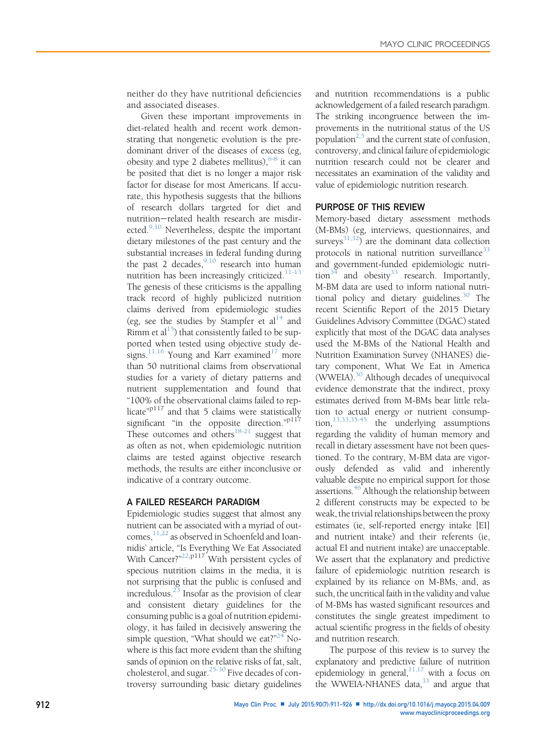neither do they have nutritional deficiencies and associated diseases.

Given these important improvements in diet-related health and recent work demonstrating that nongenetic evolution is the predominant driver of the diseases of excess (eg, obesity and type 2 diabetes mellitus),  $6-8$  it can be posited that diet is no longer a major risk factor for disease for most Americans. If accurate, this hypothesis suggests that the billions of research dollars targeted for diet and nutrition-related health research are misdirected.[9,10](#page-12-0) Nevertheless, despite the important dietary milestones of the past century and the substantial increases in federal funding during the past 2 decades,  $9,10$  research into human nutrition has been increasingly criticized. $11-13$ The genesis of these criticisms is the appalling track record of highly publicized nutrition claims derived from epidemiologic studies (eg, see the studies by Stampfer et al<sup>[14](#page-12-0)</sup> and Rimm et al<sup>[15](#page-12-0)</sup>) that consistently failed to be supported when tested using objective study de-signs.<sup>[11,16](#page-12-0)</sup> Young and Karr examined<sup>[17](#page-12-0)</sup> more than 50 nutritional claims from observational studies for a variety of dietary patterns and nutrient supplementation and found that "100% of the observational claims failed to replicate<sup>"p117</sup> and that 5 claims were statistically significant "in the opposite direction."P<sup>117</sup> These outcomes and others $18-21$  suggest that as often as not, when epidemiologic nutrition claims are tested against objective research methods, the results are either inconclusive or indicative of a contrary outcome.

### A FAILED RESEARCH PARADIGM

Epidemiologic studies suggest that almost any nutrient can be associated with a myriad of outcomes,[11,22](#page-12-0) as observed in Schoenfeld and Ioannidis' article, "Is Everything We Eat Associated With Cancer?"<sup>[22,](#page-12-0)p117</sup> With persistent cycles of specious nutrition claims in the media, it is not surprising that the public is confused and incredulous.<sup>23</sup> Insofar as the provision of clear and consistent dietary guidelines for the consuming public is a goal of nutrition epidemiology, it has failed in decisively answering the simple question, "What should we eat?"<sup>[24](#page-12-0)</sup> Nowhere is this fact more evident than the shifting sands of opinion on the relative risks of fat, salt, cholesterol, and sugar[.25-30](#page-12-0) Five decades of controversy surrounding basic dietary guidelines and nutrition recommendations is a public acknowledgement of a failed research paradigm. The striking incongruence between the improvements in the nutritional status of the US population<sup>[2,5](#page-12-0)</sup> and the current state of confusion, controversy, and clinical failure of epidemiologic nutrition research could not be clearer and necessitates an examination of the validity and value of epidemiologic nutrition research.

## PURPOSE OF THIS REVIEW

Memory-based dietary assessment methods (M-BMs) (eg, interviews, questionnaires, and surveys<sup>31,32</sup>) are the dominant data collection protocols in national nutrition surveillance<sup>[33](#page-12-0)</sup> and government-funded epidemiologic nutri-tion<sup>[34](#page-12-0)</sup> and obesity<sup>33</sup> research. Importantly, M-BM data are used to inform national nutritional policy and dietary guidelines. $30$  The recent Scientific Report of the 2015 Dietary Guidelines Advisory Committee (DGAC) stated explicitly that most of the DGAC data analyses used the M-BMs of the National Health and Nutrition Examination Survey (NHANES) dietary component, What We Eat in America (WWEIA)[.30](#page-12-0) Although decades of unequivocal evidence demonstrate that the indirect, proxy estimates derived from M-BMs bear little relation to actual energy or nutrient consumption,<sup>13,33,35-45</sup> the underlying assumptions regarding the validity of human memory and recall in dietary assessment have not been questioned. To the contrary, M-BM data are vigorously defended as valid and inherently valuable despite no empirical support for those assertions.<sup>[46](#page-13-0)</sup> Although the relationship between 2 different constructs may be expected to be weak, the trivial relationships between the proxy estimates (ie, self-reported energy intake [EI] and nutrient intake) and their referents (ie, actual EI and nutrient intake) are unacceptable. We assert that the explanatory and predictive failure of epidemiologic nutrition research is explained by its reliance on M-BMs, and, as such, the uncritical faith in the validity and value of M-BMs has wasted significant resources and constitutes the single greatest impediment to actual scientific progress in the fields of obesity and nutrition research.

The purpose of this review is to survey the explanatory and predictive failure of nutrition epidemiology in general, $11,17$  with a focus on the WWEIA-NHANES data, $33$  and argue that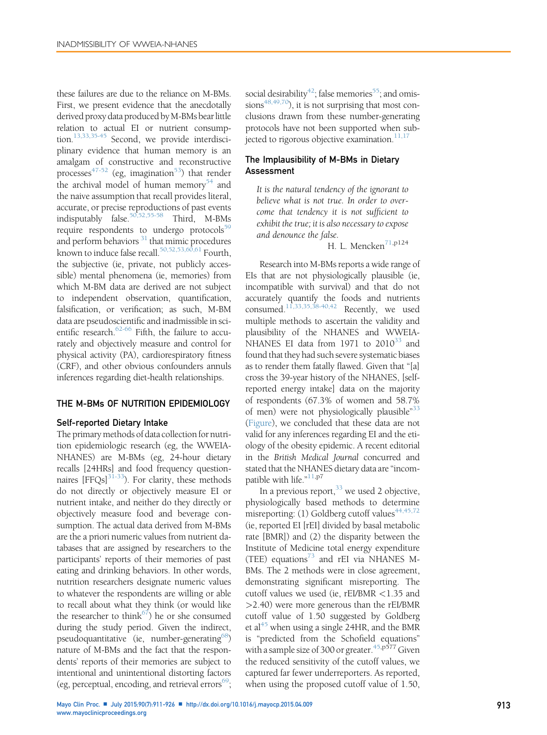these failures are due to the reliance on M-BMs. First, we present evidence that the anecdotally derived proxy data produced by M-BMs bear little relation to actual EI or nutrient consumption.<sup>13,33,35-45</sup> Second, we provide interdisciplinary evidence that human memory is an amalgam of constructive and reconstructive processes<sup>47-52</sup> (eg, imagination<sup>53</sup>) that render the archival model of human memory<sup>54</sup> and the naive assumption that recall provides literal, accurate, or precise reproductions of past events indisputably false[.50,52,55-58](#page-13-0) Third, M-BMs require respondents to undergo protocols<sup>59</sup> and perform behaviors<sup>[31](#page-12-0)</sup> that mimic procedures known to induce false recall[.50,52,53,60,61](#page-13-0) Fourth, the subjective (ie, private, not publicly accessible) mental phenomena (ie, memories) from which M-BM data are derived are not subject to independent observation, quantification, falsification, or verification; as such, M-BM data are pseudoscientific and inadmissible in scientific research. $62-66$  Fifth, the failure to accurately and objectively measure and control for physical activity (PA), cardiorespiratory fitness (CRF), and other obvious confounders annuls inferences regarding diet-health relationships.

#### THE M-BMs OF NUTRITION EPIDEMIOLOGY

#### Self-reported Dietary Intake

The primary methods of data collection for nutrition epidemiologic research (eg, the WWEIA-NHANES) are M-BMs (eg, 24-hour dietary recalls [24HRs] and food frequency questionnaires  $[FFQs]^{31-33}$ ). For clarity, these methods do not directly or objectively measure EI or nutrient intake, and neither do they directly or objectively measure food and beverage consumption. The actual data derived from M-BMs are the a priori numeric values from nutrient databases that are assigned by researchers to the participants' reports of their memories of past eating and drinking behaviors. In other words, nutrition researchers designate numeric values to whatever the respondents are willing or able to recall about what they think (or would like the researcher to think<sup>67</sup>) he or she consumed during the study period. Given the indirect, pseudoquantitative (ie, number-generating<sup>68</sup>) nature of M-BMs and the fact that the respondents' reports of their memories are subject to intentional and unintentional distorting factors (eg, perceptual, encoding, and retrieval errors $69$ ;

social desirability<sup>[42](#page-12-0)</sup>; false memories<sup>55</sup>; and omissions<sup>48,49,70</sup>), it is not surprising that most conclusions drawn from these number-generating protocols have not been supported when subjected to rigorous objective examination. $11,17$ 

# The Implausibility of M-BMs in Dietary Assessment

It is the natural tendency of the ignorant to believe what is not true. In order to overcome that tendency it is not sufficient to exhibit the true; it is also necessary to expose and denounce the false.

H. L. Mencken<sup>[71](#page-13-0),p124</sup>

Research into M-BMs reports a wide range of EIs that are not physiologically plausible (ie, incompatible with survival) and that do not accurately quantify the foods and nutrients consumed.<sup>11,33,35,38-40,42</sup> Recently, we used multiple methods to ascertain the validity and plausibility of the NHANES and WWEIA-NHANES EI data from  $1971$  to  $2010^{33}$  $2010^{33}$  $2010^{33}$  and found that they had such severe systematic biases as to render them fatally flawed. Given that "[a] cross the 39-year history of the NHANES, [selfreported energy intake] data on the majority of respondents (67.3% of women and 58.7% of men) were not physiologically plausible"<sup>[33](#page-12-0)</sup> ([Figure](#page-3-0)), we concluded that these data are not valid for any inferences regarding EI and the etiology of the obesity epidemic. A recent editorial in the British Medical Journal concurred and stated that the NHANES dietary data are "incom-patible with life." <sup>[11](#page-12-0),p7</sup>

In a previous report,  $33$  we used 2 objective, physiologically based methods to determine misreporting: (1) Goldberg cutoff values $44,45,72$ (ie, reported EI [rEI] divided by basal metabolic rate [BMR]) and (2) the disparity between the Institute of Medicine total energy expenditure (TEE) equations $^{73}$  and rEI via NHANES M-BMs. The 2 methods were in close agreement, demonstrating significant misreporting. The cutoff values we used (ie, rEI/BMR <1.35 and >2.40) were more generous than the rEI/BMR cutoff value of 1.50 suggested by Goldberg et al<sup>[45](#page-13-0)</sup> when using a single 24HR, and the BMR is "predicted from the Schofield equations" with a sample size of 300 or greater.<sup>45,p577</sup> Given the reduced sensitivity of the cutoff values, we captured far fewer underreporters. As reported, when using the proposed cutoff value of 1.50,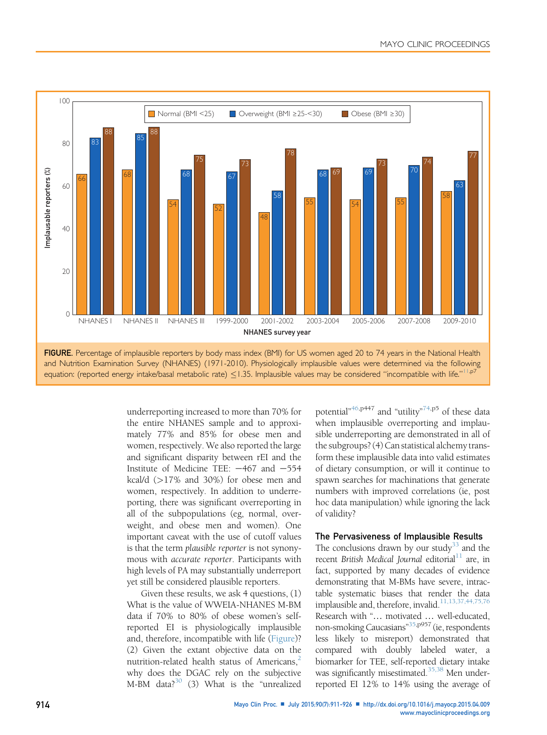<span id="page-3-0"></span>

underreporting increased to more than 70% for the entire NHANES sample and to approximately 77% and 85% for obese men and women, respectively. We also reported the large and significant disparity between rEI and the Institute of Medicine TEE:  $-467$  and  $-554$ kcal/d (>17% and 30%) for obese men and women, respectively. In addition to underreporting, there was significant overreporting in all of the subpopulations (eg, normal, overweight, and obese men and women). One important caveat with the use of cutoff values is that the term plausible reporter is not synonymous with accurate reporter. Participants with high levels of PA may substantially underreport yet still be considered plausible reporters.

Given these results, we ask 4 questions, (1) What is the value of WWEIA-NHANES M-BM data if 70% to 80% of obese women's selfreported EI is physiologically implausible and, therefore, incompatible with life (Figure)? (2) Given the extant objective data on the nutrition-related health status of Americans,<sup>[2](#page-12-0)</sup> why does the DGAC rely on the subjective M-BM data? $30$  (3) What is the "unrealized

potential"<sup>[46,](#page-13-0)p447</sup> and "utility"<sup>[74,](#page-13-0)p5</sup> of these data when implausible overreporting and implausible underreporting are demonstrated in all of the subgroups? (4) Can statistical alchemy transform these implausible data into valid estimates of dietary consumption, or will it continue to spawn searches for machinations that generate numbers with improved correlations (ie, post hoc data manipulation) while ignoring the lack of validity?

#### The Pervasiveness of Implausible Results

The conclusions drawn by our study $33$  and the recent British Medical Journal editorial $11$  are, in fact, supported by many decades of evidence demonstrating that M-BMs have severe, intractable systematic biases that render the data implausible and, therefore, invalid.<sup>11,13,37,44,75,76</sup> Research with "... motivated ... well-educated, non-smoking Caucasians"<sup>[35,](#page-12-0)p957</sup> (ie, respondents less likely to misreport) demonstrated that compared with doubly labeled water, a biomarker for TEE, self-reported dietary intake was significantly misestimated.<sup>[35,38](#page-12-0)</sup> Men underreported EI 12% to 14% using the average of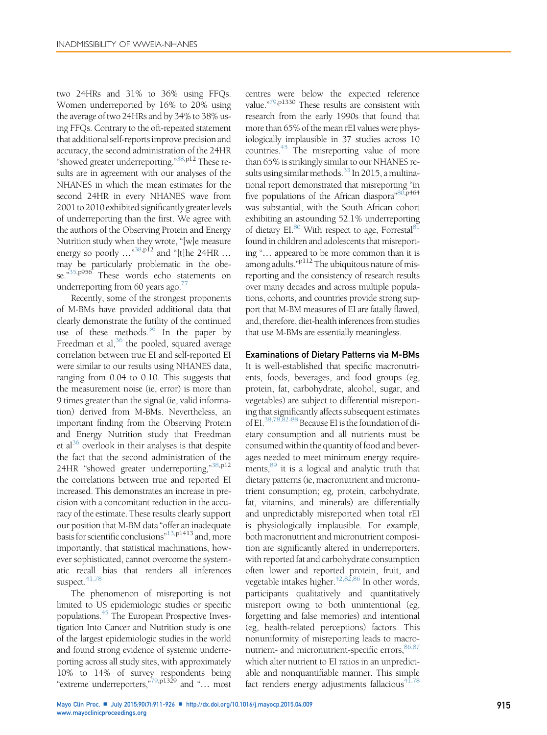two 24HRs and 31% to 36% using FFQs. Women underreported by 16% to 20% using the average of two 24HRs and by 34% to 38% using FFQs. Contrary to the oft-repeated statement that additional self-reports improve precision and accuracy, the second administration of the 24HR "showed greater underreporting." [38,](#page-12-0)p12 These results are in agreement with our analyses of the NHANES in which the mean estimates for the second 24HR in every NHANES wave from 2001to 2010 exhibited significantly greater levels of underreporting than the first. We agree with the authors of the Observing Protein and Energy Nutrition study when they wrote, "[w]e measure energy so poorly  $\ldots$ <sup>"[38](#page-12-0),p12</sup> and "[t]he 24HR  $\ldots$ may be particularly problematic in the obe-se."<sup>[35](#page-12-0),p956</sup> These words echo statements on underreporting from 60 years ago.<sup>77</sup>

Recently, some of the strongest proponents of M-BMs have provided additional data that clearly demonstrate the futility of the continued use of these methods. $36$  In the paper by Freedman et al, $36$  the pooled, squared average correlation between true EI and self-reported EI were similar to our results using NHANES data, ranging from 0.04 to 0.10. This suggests that the measurement noise (ie, error) is more than 9 times greater than the signal (ie, valid information) derived from M-BMs. Nevertheless, an important finding from the Observing Protein and Energy Nutrition study that Freedman et al<sup>36</sup> overlook in their analyses is that despite the fact that the second administration of the 24HR "showed greater underreporting,"<sup>[38](#page-12-0),p12</sup> the correlations between true and reported EI increased. This demonstrates an increase in precision with a concomitant reduction in the accuracy of the estimate. These results clearly support our position that M-BM data "offer an inadequate basis for scientific conclusions" [13](#page-12-0),p1413 and, more importantly, that statistical machinations, however sophisticated, cannot overcome the systematic recall bias that renders all inferences suspect.<sup>41,78</sup>

The phenomenon of misreporting is not limited to US epidemiologic studies or specific populations[.45](#page-13-0) The European Prospective Investigation Into Cancer and Nutrition study is one of the largest epidemiologic studies in the world and found strong evidence of systemic underreporting across all study sites, with approximately 10% to 14% of survey respondents being "extreme underreporters,"<sup>[79](#page-13-0),p1329</sup> and "... most

centres were below the expected reference value." [79](#page-13-0),p1330 These results are consistent with research from the early 1990s that found that more than 65% of the mean rEI values were physiologically implausible in 37 studies across 10 countries.<sup>[45](#page-13-0)</sup> The misreporting value of more than 65% is strikingly similar to our NHANES results using similar methods. $^{33}$  $^{33}$  $^{33}$  In 2015, a multinational report demonstrated that misreporting "in five populations of the African diaspora"<sup>[80,](#page-13-0)p464</sup> was substantial, with the South African cohort exhibiting an astounding 52.1% underreporting of dietary EI.<sup>80</sup> With respect to age, Forrestal<sup>81</sup> found in children and adolescents that misreporting "... appeared to be more common than it is among adults."<sup>p112</sup> The ubiquitous nature of misreporting and the consistency of research results over many decades and across multiple populations, cohorts, and countries provide strong support that M-BM measures of EI are fatally flawed, and, therefore, diet-health inferences from studies that use M-BMs are essentially meaningless.

#### Examinations of Dietary Patterns via M-BMs

It is well-established that specific macronutrients, foods, beverages, and food groups (eg, protein, fat, carbohydrate, alcohol, sugar, and vegetables) are subject to differential misreporting that significantly affects subsequent estimates of EI[.38,78,82-88](#page-12-0) Because EI isthe foundation of dietary consumption and all nutrients must be consumed within the quantity of food and beverages needed to meet minimum energy requirements, $89$  it is a logical and analytic truth that dietary patterns (ie, macronutrient and micronutrient consumption; eg, protein, carbohydrate, fat, vitamins, and minerals) are differentially and unpredictably misreported when total rEI is physiologically implausible. For example, both macronutrient and micronutrient composition are significantly altered in underreporters, with reported fat and carbohydrate consumption often lower and reported protein, fruit, and vegetable intakes higher. $42,82,86$  In other words, participants qualitatively and quantitatively misreport owing to both unintentional (eg, forgetting and false memories) and intentional (eg, health-related perceptions) factors. This nonuniformity of misreporting leads to macronutrient- and micronutrient-specific errors,  $86,87$ which alter nutrient to EI ratios in an unpredictable and nonquantifiable manner. This simple fact renders energy adjustments fallacious $41,78$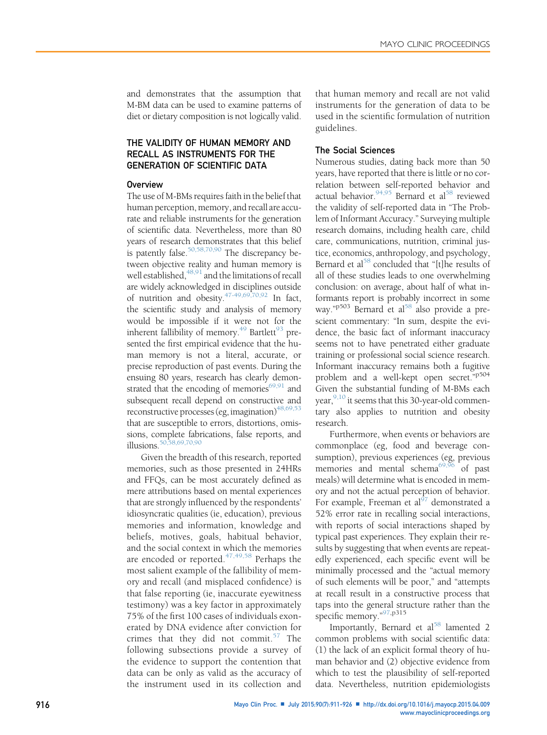and demonstrates that the assumption that M-BM data can be used to examine patterns of diet or dietary composition is not logically valid.

# THE VALIDITY OF HUMAN MEMORY AND RECALL AS INSTRUMENTS FOR THE GENERATION OF SCIENTIFIC DATA

## Overview

The use of M-BMs requires faith in the belief that human perception, memory, and recall are accurate and reliable instruments for the generation of scientific data. Nevertheless, more than 80 years of research demonstrates that this belief is patently false.  $50,58,70,90$  The discrepancy between objective reality and human memory is well established, $48,91$  and the limitations of recall are widely acknowledged in disciplines outside of nutrition and obesity.<sup>[47-49,69,70,92](#page-13-0)</sup> In fact, the scientific study and analysis of memory would be impossible if it were not for the inherent fallibility of memory. $49$  Bartlett<sup>[93](#page-14-0)</sup> presented the first empirical evidence that the human memory is not a literal, accurate, or precise reproduction of past events. During the ensuing 80 years, research has clearly demonstrated that the encoding of memories $69,91$  and subsequent recall depend on constructive and reconstructive processes (eg, imagination) $48,69,53$ that are susceptible to errors, distortions, omissions, complete fabrications, false reports, and illusions[.50,58,69,70,90](#page-13-0)

Given the breadth of this research, reported memories, such as those presented in 24HRs and FFQs, can be most accurately defined as mere attributions based on mental experiences that are strongly influenced by the respondents' idiosyncratic qualities (ie, education), previous memories and information, knowledge and beliefs, motives, goals, habitual behavior, and the social context in which the memories are encoded or reported. $47,49,58$  Perhaps the most salient example of the fallibility of memory and recall (and misplaced confidence) is that false reporting (ie, inaccurate eyewitness testimony) was a key factor in approximately 75% of the first 100 cases of individuals exonerated by DNA evidence after conviction for crimes that they did not commit.[57](#page-13-0) The following subsections provide a survey of the evidence to support the contention that data can be only as valid as the accuracy of the instrument used in its collection and

that human memory and recall are not valid instruments for the generation of data to be used in the scientific formulation of nutrition guidelines.

#### The Social Sciences

Numerous studies, dating back more than 50 years, have reported that there is little or no correlation between self-reported behavior and actual behavior.<sup>[94,95](#page-14-0)</sup> Bernard et al<sup>[58](#page-13-0)</sup> reviewed the validity of self-reported data in "The Problem of Informant Accuracy." Surveying multiple research domains, including health care, child care, communications, nutrition, criminal justice, economics, anthropology, and psychology, Bernard et al<sup>[58](#page-13-0)</sup> concluded that "[t]he results of all of these studies leads to one overwhelming conclusion: on average, about half of what informants report is probably incorrect in some way."P<sup>503</sup> Bernard et al<sup>58</sup> also provide a prescient commentary: "In sum, despite the evidence, the basic fact of informant inaccuracy seems not to have penetrated either graduate training or professional social science research. Informant inaccuracy remains both a fugitive problem and a well-kept open secret." p504 Given the substantial funding of M-BMs each year, $\frac{9,10}{9}$  it seems that this 30-year-old commentary also applies to nutrition and obesity research.

Furthermore, when events or behaviors are commonplace (eg, food and beverage consumption), previous experiences (eg, previous memories and mental schema $^{69,96}$  of past meals) will determine what is encoded in memory and not the actual perception of behavior. For example, Freeman et al $9'$  demonstrated a 52% error rate in recalling social interactions, with reports of social interactions shaped by typical past experiences. They explain their results by suggesting that when events are repeatedly experienced, each specific event will be minimally processed and the "actual memory of such elements will be poor," and "attempts at recall result in a constructive process that taps into the general structure rather than the specific memory." [97,](#page-14-0)p315

Importantly, Bernard et al<sup>[58](#page-13-0)</sup> lamented 2 common problems with social scientific data: (1) the lack of an explicit formal theory of human behavior and (2) objective evidence from which to test the plausibility of self-reported data. Nevertheless, nutrition epidemiologists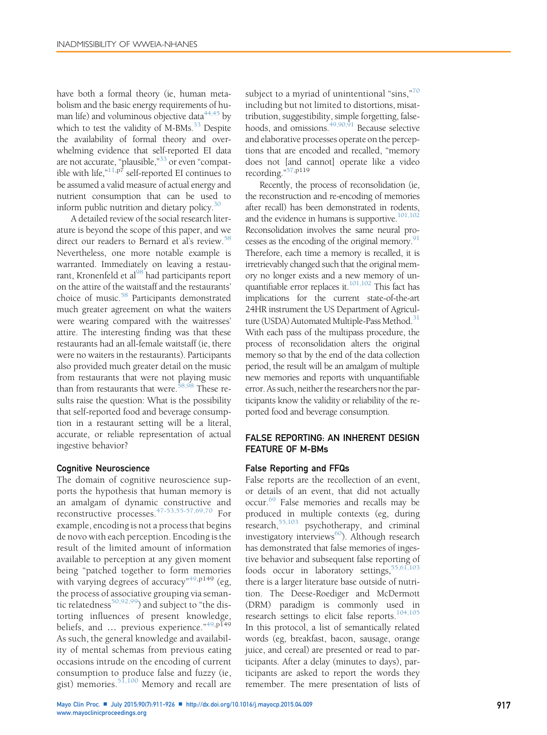have both a formal theory (ie, human metabolism and the basic energy requirements of human life) and voluminous objective data $44,45$  by which to test the validity of M-BMs. $^{33}$  $^{33}$  $^{33}$  Despite the availability of formal theory and overwhelming evidence that self-reported EI data are not accurate, "plausible," [33](#page-12-0) or even "compatible with life," $^{11,p7}$  $^{11,p7}$  $^{11,p7}$  self-reported EI continues to be assumed a valid measure of actual energy and nutrient consumption that can be used to inform public nutrition and dietary policy. $30$ 

A detailed review of the social research literature is beyond the scope of this paper, and we direct our readers to Bernard et al's review.<sup>[58](#page-13-0)</sup> Nevertheless, one more notable example is warranted. Immediately on leaving a restaurant, Kronenfeld et al<sup>98</sup> had participants report on the attire of the waitstaff and the restaurants' choice of music.<sup>[58](#page-13-0)</sup> Participants demonstrated much greater agreement on what the waiters were wearing compared with the waitresses' attire. The interesting finding was that these restaurants had an all-female waitstaff (ie, there were no waiters in the restaurants). Participants also provided much greater detail on the music from restaurants that were not playing music than from restaurants that were.<sup>58,98</sup> These results raise the question: What is the possibility that self-reported food and beverage consumption in a restaurant setting will be a literal, accurate, or reliable representation of actual ingestive behavior?

#### Cognitive Neuroscience

The domain of cognitive neuroscience supports the hypothesis that human memory is an amalgam of dynamic constructive and reconstructive processes.[47-53,55-57,69,70](#page-13-0) For example, encoding is not a process that begins de novo with each perception. Encoding is the result of the limited amount of information available to perception at any given moment being "patched together to form memories with varying degrees of accuracy"<sup>[49](#page-13-0),p149</sup> (eg, the process of associative grouping via seman-tic relatedness<sup>[50,92,99](#page-13-0)</sup>) and subject to "the distorting influences of present knowledge, beliefs, and ... previous experience."<sup>[49,](#page-13-0)p149</sup> As such, the general knowledge and availability of mental schemas from previous eating occasions intrude on the encoding of current consumption to produce false and fuzzy (ie, gist) memories.<sup>[51,100](#page-13-0)</sup> Memory and recall are

subject to a myriad of unintentional "sins," $^{70}$  $^{70}$  $^{70}$ including but not limited to distortions, misattribution, suggestibility, simple forgetting, falsehoods, and omissions.[49,90,91](#page-13-0) Because selective and elaborative processes operate on the perceptions that are encoded and recalled, "memory does not [and cannot] operate like a video recording." [57](#page-13-0),p119

Recently, the process of reconsolidation (ie, the reconstruction and re-encoding of memories after recall) has been demonstrated in rodents, and the evidence in humans is supportive.<sup>[101,102](#page-14-0)</sup> Reconsolidation involves the same neural processes as the encoding of the original memory.<sup>91</sup> Therefore, each time a memory is recalled, it is irretrievably changed such that the original memory no longer exists and a new memory of unquantifiable error replaces it.[101,102](#page-14-0) This fact has implications for the current state-of-the-art 24HR instrument the US Department of Agriculture (USDA) Automated Multiple-Pass Method.<sup>31</sup> With each pass of the multipass procedure, the process of reconsolidation alters the original memory so that by the end of the data collection period, the result will be an amalgam of multiple new memories and reports with unquantifiable error. As such, neither the researchers nor the participants know the validity or reliability of the reported food and beverage consumption.

# FALSE REPORTING: AN INHERENT DESIGN FEATURE OF M-BMs

#### False Reporting and FFQs

False reports are the recollection of an event, or details of an event, that did not actually occur.[69](#page-13-0) False memories and recalls may be produced in multiple contexts (eg, during research,<sup>[55,103](#page-13-0)</sup> psychotherapy, and criminal investigatory interviews<sup>[60](#page-13-0)</sup>). Although research has demonstrated that false memories of ingestive behavior and subsequent false reporting of foods occur in laboratory settings,  $55,61,103$ there is a larger literature base outside of nutrition. The Deese-Roediger and McDermott (DRM) paradigm is commonly used in research settings to elicit false reports.<sup>[104,105](#page-14-0)</sup> In this protocol, a list of semantically related words (eg, breakfast, bacon, sausage, orange juice, and cereal) are presented or read to participants. After a delay (minutes to days), participants are asked to report the words they remember. The mere presentation of lists of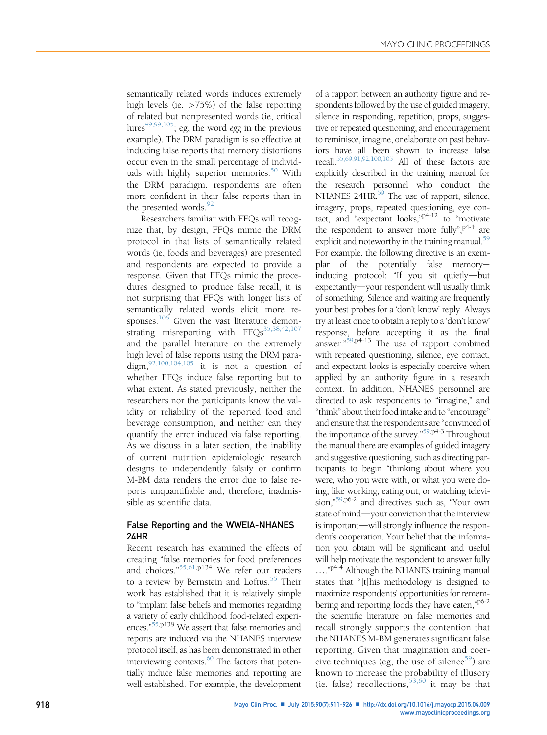semantically related words induces extremely high levels (ie, >75%) of the false reporting of related but nonpresented words (ie, critical lures<sup>[49,99,105](#page-13-0)</sup>; eg, the word *egg* in the previous example). The DRM paradigm is so effective at inducing false reports that memory distortions occur even in the small percentage of individ-uals with highly superior memories.<sup>[50](#page-13-0)</sup> With the DRM paradigm, respondents are often more confident in their false reports than in the presented words.<sup>[92](#page-14-0)</sup>

Researchers familiar with FFQs will recognize that, by design, FFQs mimic the DRM protocol in that lists of semantically related words (ie, foods and beverages) are presented and respondents are expected to provide a response. Given that FFQs mimic the procedures designed to produce false recall, it is not surprising that FFQs with longer lists of semantically related words elicit more re-sponses.<sup>[106](#page-14-0)</sup> Given the vast literature demonstrating misreporting with  $FFQs^{35,38,42,107}$  $FFQs^{35,38,42,107}$  $FFQs^{35,38,42,107}$ and the parallel literature on the extremely high level of false reports using the DRM paradigm,  $92,100,104,105$  it is not a question of whether FFQs induce false reporting but to what extent. As stated previously, neither the researchers nor the participants know the validity or reliability of the reported food and beverage consumption, and neither can they quantify the error induced via false reporting. As we discuss in a later section, the inability of current nutrition epidemiologic research designs to independently falsify or confirm M-BM data renders the error due to false reports unquantifiable and, therefore, inadmissible as scientific data.

## False Reporting and the WWEIA-NHANES 24HR

Recent research has examined the effects of creating "false memories for food preferences and choices." [55,61](#page-13-0),p134 We refer our readers to a review by Bernstein and Loftus.<sup>[55](#page-13-0)</sup> Their work has established that it is relatively simple to "implant false beliefs and memories regarding a variety of early childhood food-related experiences." [55](#page-13-0),p138 We assert that false memories and reports are induced via the NHANES interview protocol itself, as has been demonstrated in other interviewing contexts.<sup>[60](#page-13-0)</sup> The factors that potentially induce false memories and reporting are well established. For example, the development of a rapport between an authority figure and respondents followed by the use of guided imagery, silence in responding, repetition, props, suggestive or repeated questioning, and encouragement to reminisce, imagine, or elaborate on past behaviors have all been shown to increase false recall.[55,69,91,92,100,105](#page-13-0) All of these factors are explicitly described in the training manual for the research personnel who conduct the NHANES 24HR.<sup>[59](#page-13-0)</sup> The use of rapport, silence, imagery, props, repeated questioning, eye contact, and "expectant looks,"<sup>p4-12</sup> to "motivate the respondent to answer more fully", <sup>p4-4</sup> are explicit and noteworthy in the training manual.<sup>[59](#page-13-0)</sup> For example, the following directive is an exemplar of the potentially false memoryinducing protocol: "If you sit quietly-but expectantly—your respondent will usually think of something. Silence and waiting are frequently your best probes for a 'don't know' reply. Always try at least once to obtain a reply to a 'don't know' response, before accepting it as the final answer." [59](#page-13-0),p4-13 The use of rapport combined with repeated questioning, silence, eye contact, and expectant looks is especially coercive when applied by an authority figure in a research context. In addition, NHANES personnel are directed to ask respondents to "imagine," and "think" about their food intake and to "encourage" and ensure that the respondents are "convinced of the importance of the survey." [59,](#page-13-0)p4-3 Throughout the manual there are examples of guided imagery and suggestive questioning, such as directing participants to begin "thinking about where you were, who you were with, or what you were doing, like working, eating out, or watching television," [59,](#page-13-0)p6-2 and directives such as, "Your own state of mind-your conviction that the interview is important—will strongly influence the respondent's cooperation. Your belief that the information you obtain will be significant and useful will help motivate the respondent to answer fully ...."<sup>p4-4</sup> Although the NHANES training manual states that "[t]his methodology is designed to maximize respondents' opportunities for remembering and reporting foods they have eaten," p6-2 the scientific literature on false memories and recall strongly supports the contention that the NHANES M-BM generates significant false reporting. Given that imagination and coer-cive techniques (eg, the use of silence<sup>[59](#page-13-0)</sup>) are known to increase the probability of illusory (ie, false) recollections,  $53,60$  it may be that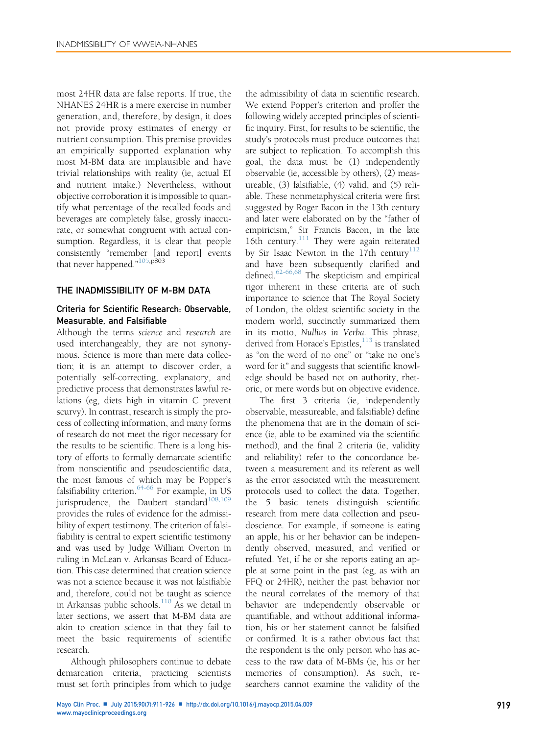most 24HR data are false reports. If true, the NHANES 24HR is a mere exercise in number generation, and, therefore, by design, it does not provide proxy estimates of energy or nutrient consumption. This premise provides an empirically supported explanation why most M-BM data are implausible and have trivial relationships with reality (ie, actual EI and nutrient intake.) Nevertheless, without objective corroboration it is impossible to quantify what percentage of the recalled foods and beverages are completely false, grossly inaccurate, or somewhat congruent with actual consumption. Regardless, it is clear that people consistently "remember [and report] events that never happened." [105,](#page-14-0) p803

## THE INADMISSIBILITY OF M-BM DATA

# Criteria for Scientific Research: Observable, Measurable, and Falsifiable

Although the terms science and research are used interchangeably, they are not synonymous. Science is more than mere data collection; it is an attempt to discover order, a potentially self-correcting, explanatory, and predictive process that demonstrates lawful relations (eg, diets high in vitamin C prevent scurvy). In contrast, research is simply the process of collecting information, and many forms of research do not meet the rigor necessary for the results to be scientific. There is a long history of efforts to formally demarcate scientific from nonscientific and pseudoscientific data, the most famous of which may be Popper's falsifiability criterion. $64-66$  For example, in US jurisprudence, the Daubert standard<sup>[108,109](#page-14-0)</sup> provides the rules of evidence for the admissibility of expert testimony. The criterion of falsifiability is central to expert scientific testimony and was used by Judge William Overton in ruling in McLean v. Arkansas Board of Education. This case determined that creation science was not a science because it was not falsifiable and, therefore, could not be taught as science in Arkansas public schools. $110$  As we detail in later sections, we assert that M-BM data are akin to creation science in that they fail to meet the basic requirements of scientific research.

Although philosophers continue to debate demarcation criteria, practicing scientists must set forth principles from which to judge

the admissibility of data in scientific research. We extend Popper's criterion and proffer the following widely accepted principles of scientific inquiry. First, for results to be scientific, the study's protocols must produce outcomes that are subject to replication. To accomplish this goal, the data must be (1) independently observable (ie, accessible by others), (2) measureable, (3) falsifiable, (4) valid, and (5) reliable. These nonmetaphysical criteria were first suggested by Roger Bacon in the 13th century and later were elaborated on by the "father of empiricism," Sir Francis Bacon, in the late 16th century.<sup>[111](#page-14-0)</sup> They were again reiterated by Sir Isaac Newton in the 17th century<sup>[112](#page-14-0)</sup> and have been subsequently clarified and defined.<sup>[62-66,68](#page-13-0)</sup> The skepticism and empirical rigor inherent in these criteria are of such importance to science that The Royal Society of London, the oldest scientific society in the modern world, succinctly summarized them in its motto, Nullius in Verba. This phrase, derived from Horace's Epistles,<sup>[113](#page-14-0)</sup> is translated as "on the word of no one" or "take no one's word for it" and suggests that scientific knowledge should be based not on authority, rhetoric, or mere words but on objective evidence.

The first 3 criteria (ie, independently observable, measureable, and falsifiable) define the phenomena that are in the domain of science (ie, able to be examined via the scientific method), and the final 2 criteria (ie, validity and reliability) refer to the concordance between a measurement and its referent as well as the error associated with the measurement protocols used to collect the data. Together, the 5 basic tenets distinguish scientific research from mere data collection and pseudoscience. For example, if someone is eating an apple, his or her behavior can be independently observed, measured, and verified or refuted. Yet, if he or she reports eating an apple at some point in the past (eg, as with an FFQ or 24HR), neither the past behavior nor the neural correlates of the memory of that behavior are independently observable or quantifiable, and without additional information, his or her statement cannot be falsified or confirmed. It is a rather obvious fact that the respondent is the only person who has access to the raw data of M-BMs (ie, his or her memories of consumption). As such, researchers cannot examine the validity of the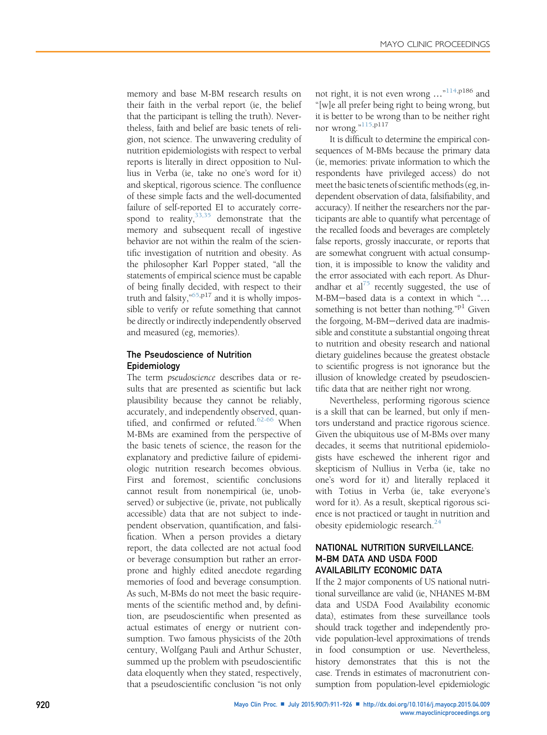memory and base M-BM research results on their faith in the verbal report (ie, the belief that the participant is telling the truth). Nevertheless, faith and belief are basic tenets of religion, not science. The unwavering credulity of nutrition epidemiologists with respect to verbal reports is literally in direct opposition to Nullius in Verba (ie, take no one's word for it) and skeptical, rigorous science. The confluence of these simple facts and the well-documented failure of self-reported EI to accurately correspond to reality,  $33,35$  demonstrate that the memory and subsequent recall of ingestive behavior are not within the realm of the scientific investigation of nutrition and obesity. As the philosopher Karl Popper stated, "all the statements of empirical science must be capable of being finally decided, with respect to their truth and falsity," [65,](#page-13-0)p17 and it is wholly impossible to verify or refute something that cannot be directly or indirectly independently observed and measured (eg, memories).

## The Pseudoscience of Nutrition Epidemiology

The term pseudoscience describes data or results that are presented as scientific but lack plausibility because they cannot be reliably, accurately, and independently observed, quan-tified, and confirmed or refuted.<sup>[62-66](#page-13-0)</sup> When M-BMs are examined from the perspective of the basic tenets of science, the reason for the explanatory and predictive failure of epidemiologic nutrition research becomes obvious. First and foremost, scientific conclusions cannot result from nonempirical (ie, unobserved) or subjective (ie, private, not publically accessible) data that are not subject to independent observation, quantification, and falsification. When a person provides a dietary report, the data collected are not actual food or beverage consumption but rather an errorprone and highly edited anecdote regarding memories of food and beverage consumption. As such, M-BMs do not meet the basic requirements of the scientific method and, by definition, are pseudoscientific when presented as actual estimates of energy or nutrient consumption. Two famous physicists of the 20th century, Wolfgang Pauli and Arthur Schuster, summed up the problem with pseudoscientific data eloquently when they stated, respectively, that a pseudoscientific conclusion "is not only

not right, it is not even wrong  $...$ " $^{114, p186}$  $^{114, p186}$  $^{114, p186}$  and "[w]e all prefer being right to being wrong, but it is better to be wrong than to be neither right nor wrong." [115](#page-14-0),p117

It is difficult to determine the empirical consequences of M-BMs because the primary data (ie, memories: private information to which the respondents have privileged access) do not meet the basic tenets of scientific methods (eg, independent observation of data, falsifiability, and accuracy). If neither the researchers nor the participants are able to quantify what percentage of the recalled foods and beverages are completely false reports, grossly inaccurate, or reports that are somewhat congruent with actual consumption, it is impossible to know the validity and the error associated with each report. As Dhurandhar et al<sup> $/5$ </sup> recently suggested, the use of M-BM-based data is a context in which "... something is not better than nothing."<sup>p1</sup> Given the forgoing, M-BM-derived data are inadmissible and constitute a substantial ongoing threat to nutrition and obesity research and national dietary guidelines because the greatest obstacle to scientific progress is not ignorance but the illusion of knowledge created by pseudoscientific data that are neither right nor wrong.

Nevertheless, performing rigorous science is a skill that can be learned, but only if mentors understand and practice rigorous science. Given the ubiquitous use of M-BMs over many decades, it seems that nutritional epidemiologists have eschewed the inherent rigor and skepticism of Nullius in Verba (ie, take no one's word for it) and literally replaced it with Totius in Verba (ie, take everyone's word for it). As a result, skeptical rigorous science is not practiced or taught in nutrition and obesity epidemiologic research.<sup>[24](#page-12-0)</sup>

## NATIONAL NUTRITION SURVEILLANCE: M-BM DATA AND USDA FOOD AVAILABILITY ECONOMIC DATA

If the 2 major components of US national nutritional surveillance are valid (ie, NHANES M-BM data and USDA Food Availability economic data), estimates from these surveillance tools should track together and independently provide population-level approximations of trends in food consumption or use. Nevertheless, history demonstrates that this is not the case. Trends in estimates of macronutrient consumption from population-level epidemiologic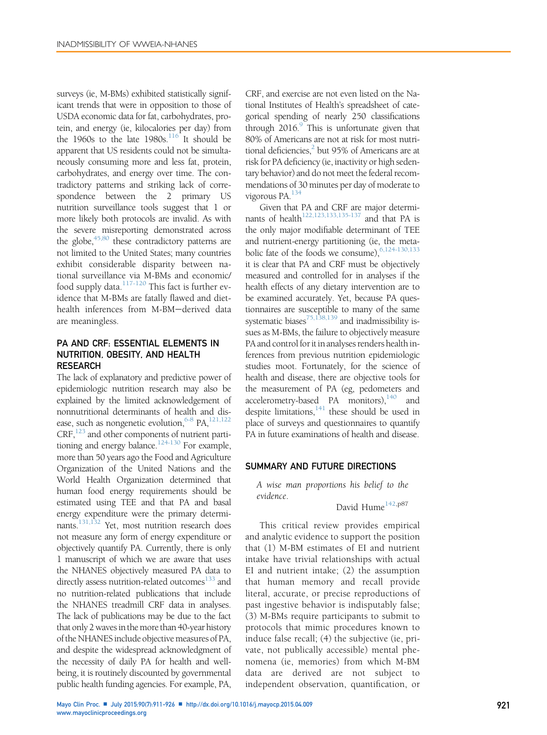surveys (ie, M-BMs) exhibited statistically significant trends that were in opposition to those of USDA economic data for fat, carbohydrates, protein, and energy (ie, kilocalories per day) from the 1960s to the late  $1980s$ .<sup>116</sup> It should be apparent that US residents could not be simultaneously consuming more and less fat, protein, carbohydrates, and energy over time. The contradictory patterns and striking lack of correspondence between the 2 primary US nutrition surveillance tools suggest that 1 or more likely both protocols are invalid. As with the severe misreporting demonstrated across the globe, $45,80$  these contradictory patterns are not limited to the United States; many countries exhibit considerable disparity between national surveillance via M-BMs and economic/ food supply data. $117-120$  This fact is further evidence that M-BMs are fatally flawed and diethealth inferences from M-BM-derived data are meaningless.

# PA AND CRF: ESSENTIAL ELEMENTS IN NUTRITION, OBESITY, AND HEALTH RESEARCH

The lack of explanatory and predictive power of epidemiologic nutrition research may also be explained by the limited acknowledgement of nonnutritional determinants of health and disease, such as nongenetic evolution,  $6-8$  PA,  $121,122$  $CRF<sub>123</sub>$  and other components of nutrient partitioning and energy balance. $124-130$  For example, more than 50 years ago the Food and Agriculture Organization of the United Nations and the World Health Organization determined that human food energy requirements should be estimated using TEE and that PA and basal energy expenditure were the primary determinants[.131,132](#page-14-0) Yet, most nutrition research does not measure any form of energy expenditure or objectively quantify PA. Currently, there is only 1 manuscript of which we are aware that uses the NHANES objectively measured PA data to directly assess nutrition-related outcomes<sup>[133](#page-14-0)</sup> and no nutrition-related publications that include the NHANES treadmill CRF data in analyses. The lack of publications may be due to the fact that only 2 waves in the more than 40-year history of the NHANES include objective measures of PA, and despite the widespread acknowledgment of the necessity of daily PA for health and wellbeing, it is routinely discounted by governmental public health funding agencies. For example, PA,

CRF, and exercise are not even listed on the National Institutes of Health's spreadsheet of categorical spending of nearly 250 classifications through 2016.<sup>9</sup> This is unfortunate given that 80% of Americans are not at risk for most nutritional deficiencies, $\frac{2}{3}$  but 95% of Americans are at risk for PA deficiency (ie, inactivity or high sedentary behavior) and do not meet the federal recommendations of 30 minutes per day of moderate to vigorous PA.<sup>[134](#page-14-0)</sup>

Given that PA and CRF are major determinants of health<sup>122,123,133,135-137</sup> and that PA is the only major modifiable determinant of TEE and nutrient-energy partitioning (ie, the metabolic fate of the foods we consume),  $6,124-130,133$ it is clear that PA and CRF must be objectively measured and controlled for in analyses if the health effects of any dietary intervention are to be examined accurately. Yet, because PA questionnaires are susceptible to many of the same systematic biases<sup>[75,138,139](#page-13-0)</sup> and inadmissibility issues as M-BMs, the failure to objectively measure PA and control for it in analyses renders health inferences from previous nutrition epidemiologic studies moot. Fortunately, for the science of health and disease, there are objective tools for the measurement of PA (eg, pedometers and accelerometry-based PA monitors), $140$  and despite limitations,  $141$  these should be used in place of surveys and questionnaires to quantify PA in future examinations of health and disease.

## SUMMARY AND FUTURE DIRECTIONS

A wise man proportions his belief to the evidence.

David Hume $142, p87$  $142, p87$ 

This critical review provides empirical and analytic evidence to support the position that (1) M-BM estimates of EI and nutrient intake have trivial relationships with actual EI and nutrient intake; (2) the assumption that human memory and recall provide literal, accurate, or precise reproductions of past ingestive behavior is indisputably false; (3) M-BMs require participants to submit to protocols that mimic procedures known to induce false recall; (4) the subjective (ie, private, not publically accessible) mental phenomena (ie, memories) from which M-BM data are derived are not subject to independent observation, quantification, or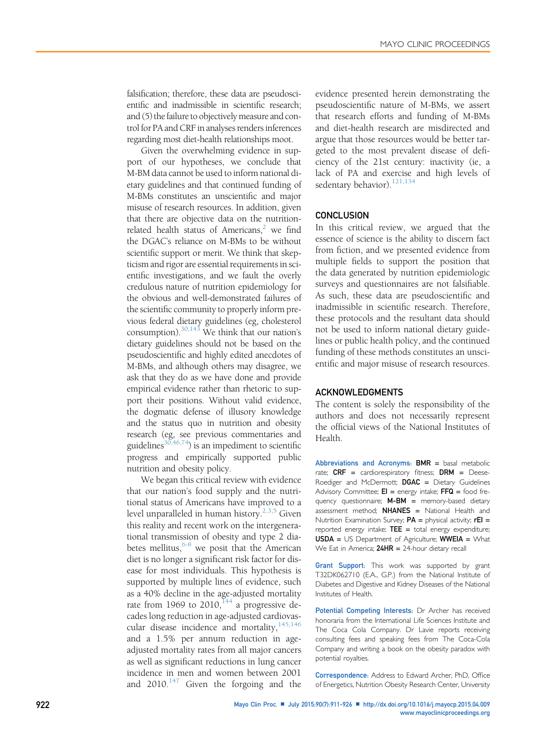falsification; therefore, these data are pseudoscientific and inadmissible in scientific research; and (5) the failure to objectively measure and control for PA and CRF in analyses renders inferences regarding most diet-health relationships moot.

Given the overwhelming evidence in support of our hypotheses, we conclude that M-BM data cannot be used to inform national dietary guidelines and that continued funding of M-BMs constitutes an unscientific and major misuse of research resources. In addition, given that there are objective data on the nutritionrelated health status of Americans, $<sup>2</sup>$  $<sup>2</sup>$  $<sup>2</sup>$  we find</sup> the DGAC's reliance on M-BMs to be without scientific support or merit. We think that skepticism and rigor are essential requirements in scientific investigations, and we fault the overly credulous nature of nutrition epidemiology for the obvious and well-demonstrated failures of the scientific community to properly inform previous federal dietary guidelines (eg, cholesterol consumption). $30,143$  We think that our nation's dietary guidelines should not be based on the pseudoscientific and highly edited anecdotes of M-BMs, and although others may disagree, we ask that they do as we have done and provide empirical evidence rather than rhetoric to support their positions. Without valid evidence, the dogmatic defense of illusory knowledge and the status quo in nutrition and obesity research (eg, see previous commentaries and guidelines<sup>[30,46,74](#page-12-0)</sup>) is an impediment to scientific progress and empirically supported public nutrition and obesity policy.

We began this critical review with evidence that our nation's food supply and the nutritional status of Americans have improved to a level unparalleled in human history.<sup>[2,3,5](#page-12-0)</sup> Given this reality and recent work on the intergenerational transmission of obesity and type 2 diabetes mellitus, $6-8$  we posit that the American diet is no longer a significant risk factor for disease for most individuals. This hypothesis is supported by multiple lines of evidence, such as a 40% decline in the age-adjusted mortality rate from 1969 to 2010,  $144$  a progressive decades long reduction in age-adjusted cardiovas-cular disease incidence and mortality, [145,146](#page-15-0) and a 1.5% per annum reduction in ageadjusted mortality rates from all major cancers as well as significant reductions in lung cancer incidence in men and women between 2001 and 2010.<sup>[147](#page-15-0)</sup> Given the forgoing and the evidence presented herein demonstrating the pseudoscientific nature of M-BMs, we assert that research efforts and funding of M-BMs and diet-health research are misdirected and argue that those resources would be better targeted to the most prevalent disease of deficiency of the 21st century: inactivity (ie, a lack of PA and exercise and high levels of sedentary behavior).<sup>[121,134](#page-14-0)</sup>

#### **CONCLUSION**

In this critical review, we argued that the essence of science is the ability to discern fact from fiction, and we presented evidence from multiple fields to support the position that the data generated by nutrition epidemiologic surveys and questionnaires are not falsifiable. As such, these data are pseudoscientific and inadmissible in scientific research. Therefore, these protocols and the resultant data should not be used to inform national dietary guidelines or public health policy, and the continued funding of these methods constitutes an unscientific and major misuse of research resources.

#### ACKNOWLEDGMENTS

The content is solely the responsibility of the authors and does not necessarily represent the official views of the National Institutes of Health.

Abbreviations and Acronyms: BMR = basal metabolic rate;  $CRF =$  cardiorespiratory fitness;  $DRM =$  Deese-Roediger and McDermott; DGAC = Dietary Guidelines Advisory Committee;  $EI =$  energy intake;  $FFQ =$  food frequency questionnaire; M-BM = memory-based dietary assessment method;  $NHANES$  = National Health and Nutrition Examination Survey;  $PA =$  physical activity;  $rEl =$ reported energy intake;  $\text{TEE}$  = total energy expenditure; USDA = US Department of Agriculture; WWEIA = What We Eat in America;  $24HR = 24$ -hour dietary recall

Grant Support: This work was supported by grant T32DK062710 (E.A., G.P.) from the National Institute of Diabetes and Digestive and Kidney Diseases of the National Institutes of Health.

Potential Competing Interests: Dr Archer has received honoraria from the International Life Sciences Institute and The Coca Cola Company. Dr Lavie reports receiving consulting fees and speaking fees from The Coca-Cola Company and writing a book on the obesity paradox with potential royalties.

Correspondence: Address to Edward Archer, PhD, Office of Energetics, Nutrition Obesity Research Center, University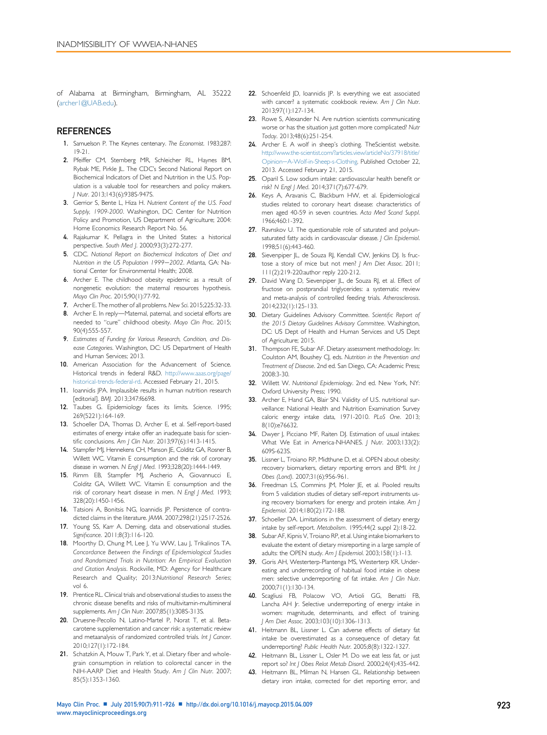<span id="page-12-0"></span>of Alabama at Birmingham, Birmingham, AL 35222 [\(archer1@UAB.edu\)](mailto:archer1@UAB.edu).

## REFERENCES

- 1. Samuelson P. The Keynes centenary. The Economist. 1983;287: 19-21.
- 2. Pfeiffer CM, Sternberg MR, Schleicher RL, Haynes BM, Rybak ME, Pirkle JL. The CDC's Second National Report on Biochemical Indicators of Diet and Nutrition in the U.S. Population is a valuable tool for researchers and policy makers. J Nutr. 2013;143(6):938S-947S.
- 3. Gerrior S, Bente L, Hiza H. Nutrient Content of the U.S. Food Supply, 1909-2000. Washington, DC: Center for Nutrition Policy and Promotion, US Department of Agriculture; 2004: Home Economics Research Report No. 56.
- 4. Rajakumar K. Pellagra in the United States: a historical perspective. South Med J. 2000;93(3):272-277.
- 5. CDC. National Report on Biochemical Indicators of Diet and Nutrition in the US Population 1999-2002. Atlanta, GA: National Center for Environmental Health; 2008.
- 6. Archer E. The childhood obesity epidemic as a result of nongenetic evolution: the maternal resources hypothesis. Mayo Clin Proc. 2015;90(1):77-92.
- 7. Archer E. The mother of all problems. New Sci. 2015;225:32-33.
- 8. Archer E. In reply-Maternal, paternal, and societal efforts are needed to "cure" childhood obesity. Mayo Clin Proc. 2015; 90(4):555-557.
- 9. Estimates of Funding for Various Research, Condition, and Disease Categories. Washington, DC: US Department of Health and Human Services; 2013.
- 10. American Association for the Advancement of Science. Historical trends in federal R&D. [http://www.aaas.org/page/](http://www.aaas.org/page/historical-trends-federal-rd) [historical-trends-federal-rd](http://www.aaas.org/page/historical-trends-federal-rd). Accessed February 21, 2015.
- 11. Ioannidis IPA. Implausible results in human nutrition research [editorial]. BMJ. 2013;347:f6698.
- 12. Taubes G. Epidemiology faces its limits. Science. 1995; 269(5221):164-169.
- 13. Schoeller DA, Thomas D, Archer E, et al. Self-report-based estimates of energy intake offer an inadequate basis for scientific conclusions. Am J Clin Nutr. 2013;97(6):1413-1415.
- 14. Stampfer MJ, Hennekens CH, Manson JE, Colditz GA, Rosner B, Willett WC. Vitamin E consumption and the risk of coronary disease in women. N Engl J Med. 1993;328(20):1444-1449.
- 15. Rimm EB, Stampfer MJ, Ascherio A, Giovannucci E, Colditz GA, Willett WC. Vitamin E consumption and the risk of coronary heart disease in men. N Engl J Med. 1993; 328(20):1450-1456.
- 16. Tatsioni A, Bonitsis NG, Ioannidis JP. Persistence of contradicted claims in the literature. JAMA. 2007;298(21):2517-2526.
- 17. Young SS, Karr A. Deming, data and observational studies. Significance. 2011;8(3):116-120.
- 18. Moorthy D, Chung M, Lee J, Yu WW, Lau J, Trikalinos TA. Concordance Between the Findings of Epidemiological Studies and Randomized Trials in Nutrition: An Empirical Evaluation and Citation Analysis. Rockville, MD: Agency for Healthcare Research and Quality; 2013:Nutritional Research Series; vol 6.
- 19. Prentice RL. Clinical trials and observational studies to assess the chronic disease benefits and risks of multivitamin-multimineral supplements. Am J Clin Nutr. 2007;85(1):308S-313S.
- 20. Druesne-Pecollo N, Latino-Martel P, Norat T, et al. Betacarotene supplementation and cancer risk: a systematic review and metaanalysis of randomized controlled trials. Int J Cancer. 2010;127(1):172-184.
- 21. Schatzkin A, Mouw T, Park Y, et al. Dietary fiber and wholegrain consumption in relation to colorectal cancer in the NIH-AARP Diet and Health Study. Am J Clin Nutr. 2007; 85(5):1353-1360.
- 22. Schoenfeld JD, Ioannidis JP. Is everything we eat associated with cancer? a systematic cookbook review. Am J Clin Nutr. 2013;97(1):127-134.
- 23. Rowe S, Alexander N. Are nutrtion scientists communicating worse or has the situation just gotten more complicated? Nutr Today. 2013;48(6):251-254.
- 24. Archer E. A wolf in sheep's clothing. TheScientist website. [http://www.the-scientist.com/?articles.view/articleNo/37918/title/](http://www.the-scientist.com/?articles.view/articleNo/37918/title/Opinion%5fA-Wolf-in-Sheep-s-Clothing) [Opinion](http://www.the-scientist.com/?articles.view/articleNo/37918/title/Opinion%5fA-Wolf-in-Sheep-s-Clothing)-[A-Wolf-in-Sheep-s-Clothing](http://www.the-scientist.com/?articles.view/articleNo/37918/title/Opinion%5fA-Wolf-in-Sheep-s-Clothing). Published October 22, 2013. Accessed February 21, 2015.
- 25. Oparil S. Low sodium intake: cardiovascular health benefit or risk? N Engl J Med. 2014;371(7):677-679.
- 26. Keys A, Aravanis C, Blackburn HW, et al. Epidemiological studies related to coronary heart disease: characteristics of men aged 40-59 in seven countries. Acta Med Scand Suppl. 1966;460:1-392.
- 27. Ravnskov U. The questionable role of saturated and polyunsaturated fatty acids in cardiovascular disease. | Clin Epidemiol. 1998;51(6):443-460.
- 28. Sievenpiper JL, de Souza RJ, Kendall CW, Jenkins DJ. Is fructose a story of mice but not men? J Am Diet Assoc. 2011; 111(2):219-220:author reply 220-212.
- 29. David Wang D, Sievenpiper JL, de Souza RJ, et al. Effect of fructose on postprandial triglycerides: a systematic review and meta-analysis of controlled feeding trials. Atherosclerosis. 2014;232(1):125-133.
- 30. Dietary Guidelines Advisory Committee. Scientific Report of the 2015 Dietary Guidelines Advisory Committee. Washington, DC: US Dept of Health and Human Services and US Dept of Agriculture; 2015.
- 31. Thompson FE, Subar AF. Dietary assessment methodology. In: Coulston AM, Boushey CJ, eds. Nutrition in the Prevention and Treatment of Disease. 2nd ed. San Diego, CA: Academic Press; 2008:3-30.
- 32. Willett W. Nutritional Epidemiology. 2nd ed. New York, NY: Oxford University Press; 1990.
- 33. Archer E, Hand GA, Blair SN, Validity of U.S. nutritional surveillance: National Health and Nutrition Examination Survey caloric energy intake data, 1971-2010. PLoS One. 2013; 8(10):e76632.
- 34. Dwyer J, Picciano MF, Raiten DJ. Estimation of usual intakes: What We Eat in America-NHANES. | Nutr. 2003;133(2): 609S-623S.
- 35. Lissner L, Troiano RP, Midthune D, et al. OPEN about obesity: recovery biomarkers, dietary reporting errors and BMI. Int J Obes (Lond). 2007;31(6):956-961.
- 36. Freedman LS, Commins JM, Moler JE, et al. Pooled results from 5 validation studies of dietary self-report instruments using recovery biomarkers for energy and protein intake. Am J Epidemiol. 2014;180(2):172-188.
- 37. Schoeller DA. Limitations in the assessment of dietary energy intake by self-report. Metabolism. 1995;44(2 suppl 2):18-22.
- 38. Subar AF, Kipnis V, Troiano RP, et al. Using intake biomarkers to evaluate the extent of dietary misreporting in a large sample of adults: the OPEN study. Am J Epidemiol. 2003;158(1):1-13.
- 39. Goris AH, Westerterp-Plantenga MS, Westerterp KR. Undereating and underrecording of habitual food intake in obese men: selective underreporting of fat intake. Am J Clin Nutr. 2000;71(1):130-134.
- 40. Scagliusi FB, Polacow VO, Artioli GG, Benatti FB, Lancha AH Jr. Selective underreporting of energy intake in women: magnitude, determinants, and effect of training. J Am Diet Assoc. 2003;103(10):1306-1313.
- 41. Heitmann BL, Lissner L. Can adverse effects of dietary fat intake be overestimated as a consequence of dietary fat underreporting? Public Health Nutr. 2005;8(8):1322-1327.
- 42. Heitmann BL, Lissner L, Osler M. Do we eat less fat, or just report so? Int J Obes Relat Metab Disord. 2000;24(4):435-442.
- 43. Heitmann BL, Milman N, Hansen GL. Relationship between dietary iron intake, corrected for diet reporting error, and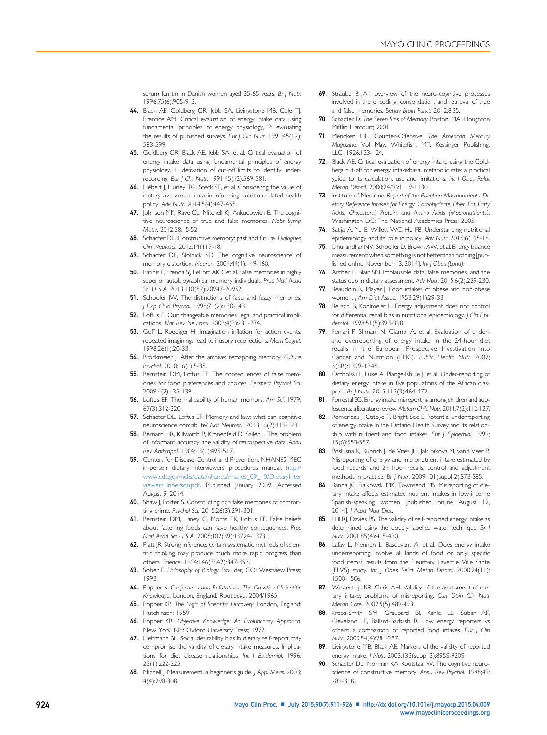serum ferritin in Danish women aged 35-65 years. Br J Nutr. 1996;75(6):905-913.

- <span id="page-13-0"></span>44. Black AE, Goldberg GR, Jebb SA, Livingstone MB, Cole TJ, Prentice AM. Critical evaluation of energy intake data using fundamental principles of energy physiology, 2: evaluating the results of published surveys. Eur J Clin Nutr. 1991;45(12): 583-599.
- 45. Goldberg GR, Black AE, Jebb SA, et al. Critical evaluation of energy intake data using fundamental principles of energy physiology, 1: derivation of cut-off limits to identify underrecording. Eur J Clin Nutr. 1991;45(12):569-581.
- 46. Hébert J, Hurley TG, Steck SE, et al. Considering the value of dietary assessment data in informing nutrition-related health policy. Adv Nutr. 2014;5(4):447-455.
- 47. Johnson MK, Raye CL, Mitchell KJ, Ankudowich E. The cognitive neuroscience of true and false memories. Nebr Symp Motiv. 2012;58:15-52.
- 48. Schacter DL. Constructive memory: past and future. Dialogues Clin Neurosci. 2012;14(1):7-18.
- 49. Schacter DL, Slotnick SD. The cognitive neuroscience of memory distortion. Neuron. 2004;44(1):149-160.
- 50. Patihis L, Frenda SJ, LePort AKR, et al. False memories in highly superior autobiographical memory individuals. Proc Natl Acad Sci U S A. 2013;110(52):20947-20952.
- 51. Schooler JW. The distinctions of false and fuzzy memories. J Exp Child Psychol. 1998;71(2):130-143.
- 52. Loftus E. Our changeable memories: legal and practical implications. Nat Rev Neurosci. 2003;4(3):231-234.
- 53. Goff L, Roediger H. Imagination inflation for action events: repeated imaginings lead to illusory recollections. Mem Cognit. 1998;26(1):20-33.
- 54. Brockmeier J. After the archive: remapping memory. Culture Psychol. 2010;16(1):5-35.
- 55. Bernstein DM, Loftus EF. The consequences of false memories for food preferences and choices. Perspect Psychol Sci. 2009;4(2):135-139.
- 56. Loftus EF. The malleability of human memory. Am Sci. 1979; 67(3):312-320.
- 57. Schacter DL, Loftus EF. Memory and law: what can cognitive neuroscience contribute? Nat Neurosci. 2013;16(2):119-123.
- 58. Bernard HR, Killworth P, Kronenfeld D, Sailer L. The problem of informant accuracy: the validity of retrospective data. Annu Rev Anthropol. 1984;13(1):495-517.
- 59. Centers for Disease Control and Prevention. NHANES MEC in-person dietary interviewers procedures manual. [http://](http://www.cdc.gov/nchs/data/nhanes/nhanes_09_10/DietaryInterviewers_Inperson.pdf) [www.cdc.gov/nchs/data/nhanes/nhanes\\_09\\_10/DietaryInter](http://www.cdc.gov/nchs/data/nhanes/nhanes_09_10/DietaryInterviewers_Inperson.pdf) [viewers\\_Inperson.pdf.](http://www.cdc.gov/nchs/data/nhanes/nhanes_09_10/DietaryInterviewers_Inperson.pdf) Published January 2009. Accessed August 9, 2014.
- 60. Shaw J, Porter S. Constructing rich false memories of committing crime. Psychol Sci. 2015;26(3):291-301.
- 61. Bernstein DM, Laney C, Morris EK, Loftus EF. False beliefs about fattening foods can have healthy consequences. Proc Natl Acad Sci U S A. 2005;102(39):13724-13731.
- 62. Platt JR. Strong inference: certain systematic methods of scientific thinking may produce much more rapid progress than others. Science. 1964;146(3642):347-353.
- 63. Sober E. Philosophy of Biology. Boulder, CO: Westview Press; 1993.
- 64. Popper K. Conjectures and Refutations: The Growth of Scientific Knowledge. London, England: Routledge; 2004/1965.
- 65. Popper KR. The Logic of Scientific Discovery. London, England: Hutchinson; 1959.
- 66. Popper KR. Objective Knowledge: An Evolutionary Approach. New York, NY: Oxford University Press; 1972.
- 67. Heitmann BL. Social desirability bias in dietary self-report may compromise the validity of dietary intake measures. Implications for diet disease relationships. Int J Epidemiol. 1996; 25(1):222-225.
- 68. Michell J. Measurement: a beginner's guide. J Appl Meas. 2003; 4(4):298-308.
- 69. Straube B. An overview of the neuro-cognitive processes involved in the encoding, consolidation, and retrieval of true and false memories. Behav Brain Funct. 2012;8:35.
- 70. Schacter D. The Seven Sins of Memory. Boston, MA: Houghton Mifflin Harcourt; 2001.
- 71. Mencken HL. Counter-Offensive. The American Mercury Magazine. Vol May. Whitefish, MT: Kessinger Publishing, LLC; 1926:123-124.
- 72. Black AE. Critical evaluation of energy intake using the Goldberg cut-off for energy intake:basal metabolic rate: a practical guide to its calculation, use and limitations. Int J Obes Relat Metab Disord. 2000;24(9):1119-1130.
- 73. Institute of Medicine. Report of the Panel on Macronutrients: Dietary Reference Intakes for Energy, Carbohydrate, Fiber, Fat, Fatty Acids, Cholesterol, Protein, and Amino Acids (Macronutrients). Washington DC: The National Academies Press; 2005.
- 74. Satija A, Yu E, Willett WC, Hu FB. Understanding nutritional epidemiology and its role in policy. Adv Nutr. 2015;6(1):5-18.
- 75. Dhurandhar NV, Schoeller D, Brown AW, et al. Energy balance measurement: when something is not better than nothing [published online November 13, 2014]. Int J Obes (Lond).
- 76. Archer E, Blair SN. Implausible data, false memories, and the status quo in dietary assessment. Adv Nutr. 2015;6(2):229-230.
- 77. Beaudoin R, Mayer J. Food intakes of obese and non-obese women. J Am Diet Assoc. 1953;29(1):29-33.
- 78. Bellach B, Kohlmeier L. Energy adjustment does not control for differential recall bias in nutritional epidemiology. J Clin Epidemiol. 1998:51(5):393-398.
- 79. Ferrari P, Slimani N, Ciampi A, et al. Evaluation of underand overreporting of energy intake in the 24-hour diet recalls in the European Prospective Investigation into Cancer and Nutrition (EPIC). Public Health Nutr. 2002; 5(6B):1329-1345.
- 80. Orcholski L, Luke A, Plange-Rhule J, et al. Under-reporting of dietary energy intake in five populations of the African diaspora. Br J Nutr. 2015;113(3):464-472.
- 81. Forrestal SG. Energy intake misreporting among children and adolescents: a literature review. Matern Child Nutr. 2011;7(2):112-127.
- 82. Pomerleau J, Ostbye T, Bright-See E. Potential underreporting of energy intake in the Ontario Health Survey and its relationship with nutrient and food intakes. Eur J Epidemiol. 1999; 15(6):553-557.
- 83. Poslusna K, Ruprich J, de Vries JH, Jakubikova M, van't Veer P. Misreporting of energy and micronutrient intake estimated by food records and 24 hour recalls, control and adjustment methods in practice. Br J Nutr. 2009;101(suppl 2):S73-S85.
- Banna JC, Fialkowski MK, Townsend MS. Misreporting of dietary intake affects estimated nutrient intakes in low-income Spanish-speaking women [published online August 12, 2014]. J Acad Nutr Diet.
- 85. Hill RJ, Davies PS. The validity of self-reported energy intake as determined using the doubly labelled water technique. Br J Nutr. 2001;85(4):415-430.
- 86. Lafay L, Mennen L, Basdevant A, et al. Does energy intake underreporting involve all kinds of food or only specific food items? results from the Fleurbaix Laventie Ville Sante (FLVS) study. Int J Obes Relat Metab Disord. 2000;24(11): 1500-1506.
- 87. Westerterp KR, Goris AH. Validity of the assessment of dietary intake: problems of misreporting. Curr Opin Clin Nutr Metab Care. 2002;5(5):489-493.
- 88. Krebs-Smith SM, Graubard BI, Kahle LL, Subar AF, Cleveland LE, Ballard-Barbash R. Low energy reporters vs others: a comparison of reported food intakes. Eur J Clin Nutr. 2000;54(4):281-287.
- 89. Livingstone MB, Black AE. Markers of the validity of reported energy intake. J Nutr. 2003;133(suppl 3):895S-920S.
- Schacter DL, Norman KA, Koutstaal W. The cognitive neuroscience of constructive memory. Annu Rev Psychol. 1998;49: 289-318.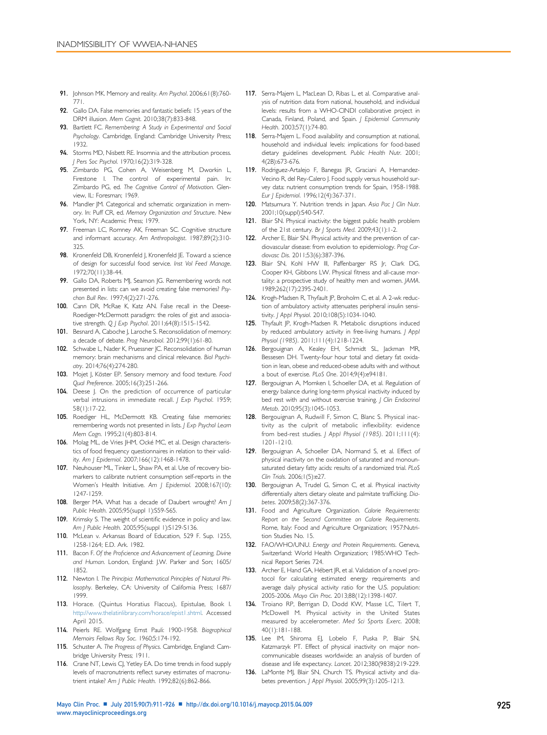- <span id="page-14-0"></span>91. Johnson MK. Memory and reality. Am Psychol. 2006;61(8):760-771.
- 92. Gallo DA. False memories and fantastic beliefs: 15 years of the DRM illusion. Mem Cognit. 2010;38(7):833-848.
- 93. Bartlett FC. Remembering: A Study in Experimental and Social Psychology. Cambridge, England: Cambridge University Press; 1932.
- 94. Storms MD, Nisbett RE. Insomnia and the attribution process. J Pers Soc Psychol. 1970;16(2):319-328.
- 95. Zimbardo PG, Cohen A, Weisenberg M, Dworkin L, Firestone I. The control of experimental pain. In: Zimbardo PG, ed. The Cognitive Control of Motivation. Glenview, IL: Foresman; 1969.
- 96. Mandler JM. Categorical and schematic organization in memory. In: Puff CR, ed. Memory Organization and Structure. New York, NY: Academic Press; 1979.
- 97. Freeman LC, Romney AK, Freeman SC. Cognitive structure and informant accuracy. Am Anthropologist. 1987;89(2):310- 325.
- 98. Kronenfeld DB, Kronenfeld J, Kronenfeld JE. Toward a science of design for successful food service. Inst Vol Feed Manage. 1972;70(11):38-44.
- 99. Gallo DA, Roberts MJ, Seamon JG. Remembering words not presented in lists: can we avoid creating false memories? Psychon Bull Rev. 1997;4(2):271-276.
- 100. Cann DR, McRae K, Katz AN. False recall in the Deese-Roediger-McDermott paradigm: the roles of gist and associative strength. Q J Exp Psychol. 2011;64(8):1515-1542.
- 101. Besnard A, Caboche J, Laroche S. Reconsolidation of memory: a decade of debate. Prog Neurobiol. 2012;99(1):61-80.
- 102. Schwabe L, Nader K, Pruessner JC. Reconsolidation of human memory: brain mechanisms and clinical relevance. Biol Psychiatry. 2014;76(4):274-280.
- 103. Mojet J, Köster EP. Sensory memory and food texture. Food Qual Preference. 2005;16(3):251-266.
- 104. Deese J. On the prediction of occurrence of particular verbal intrusions in immediate recall. J Exp Psychol. 1959; 58(1):17-22.
- 105. Roediger HL, McDermott KB. Creating false memories: remembering words not presented in lists. J Exp Psychol Learn Mem Cogn. 1995;21(4):803-814.
- 106. Molag ML, de Vries JHM, Ocké MC, et al. Design characteristics of food frequency questionnaires in relation to their validity. Am J Epidemiol. 2007;166(12):1468-1478.
- 107. Neuhouser ML, Tinker L, Shaw PA, et al. Use of recovery biomarkers to calibrate nutrient consumption self-reports in the Women's Health Initiative. Am J Epidemiol. 2008;167(10): 1247-1259.
- 108. Berger MA. What has a decade of Daubert wrought? Am J Public Health. 2005;95(suppl 1):S59-S65.
- 109. Krimsky S. The weight of scientific evidence in policy and law. Am J Public Health. 2005;95(suppl 1):S129-S136.
- 110. McLean v. Arkansas Board of Education, 529 F. Sup. 1255, 1258-1264; E.D. Ark. 1982.
- 111. Bacon F. Of the Proficience and Advancement of Learning, Divine and Human. London, England: J.W. Parker and Son; 1605/ 1852.
- 112. Newton I. The Principia: Mathematical Principles of Natural Philosophy. Berkeley, CA: University of California Press; 1687/ 1999.
- 113. Horace. (Quintus Horatius Flaccus), Epistulae, Book I. <http://www.thelatinlibrary.com/horace/epist1.shtml>. Accessed April 2015.
- 114. Peierls RE. Wolfgang Ernst Pauli: 1900-1958. Biographical Memoirs Fellows Roy Soc. 1960;5:174-192.
- 115. Schuster A. The Progress of Physics. Cambridge, England: Cambridge University Press; 1911.
- 116. Crane NT, Lewis CJ, Yetley EA. Do time trends in food supply levels of macronutrients reflect survey estimates of macronutrient intake? Am J Public Health. 1992;82(6):862-866.
- 117. Serra-Majem L, MacLean D, Ribas L, et al. Comparative analysis of nutrition data from national, household, and individual levels: results from a WHO-CINDI collaborative project in Canada, Finland, Poland, and Spain. J Epidemiol Community Health. 2003;57(1):74-80.
- 118. Serra-Majem L. Food availability and consumption at national, household and individual levels: implications for food-based dietary guidelines development. Public Health Nutr. 2001; 4(2B):673-676.
- 119. Rodriguez-Artalejo F, Banegas JR, Graciani A, Hernandez-Vecino R, del Rey-Calero J. Food supply versus household survey data: nutrient consumption trends for Spain, 1958-1988. Eur J Epidemiol. 1996;12(4):367-371.
- 120. Matsumura Y. Nutrition trends in Japan. Asia Pac J Clin Nutr. 2001;10(suppl):S40-S47.
- 121. Blair SN. Physical inactivity: the biggest public health problem of the 21st century. Br J Sports Med. 2009;43(1):1-2.
- 122. Archer E, Blair SN. Physical activity and the prevention of cardiovascular disease: from evolution to epidemiology. Prog Cardiovasc Dis. 2011;53(6):387-396.
- 123. Blair SN, Kohl HW III, Paffenbarger RS Jr, Clark DG, Cooper KH, Gibbons LW. Physical fitness and all-cause mortality: a prospective study of healthy men and women. JAMA. 1989;262(17):2395-2401.
- 124. Krogh-Madsen R, Thyfault JP, Broholm C, et al. A 2-wk reduction of ambulatory activity attenuates peripheral insulin sensitivity. J Appl Physiol. 2010;108(5):1034-1040.
- 125. Thyfault JP, Krogh-Madsen R. Metabolic disruptions induced by reduced ambulatory activity in free-living humans. J Appl Physiol (1985). 2011;111(4):1218-1224.
- 126. Bergouignan A, Kealey EH, Schmidt SL, Jackman MR, Bessesen DH. Twenty-four hour total and dietary fat oxidation in lean, obese and reduced-obese adults with and without a bout of exercise. PLoS One. 2014;9(4):e94181.
- 127. Bergouignan A, Momken I, Schoeller DA, et al. Regulation of energy balance during long-term physical inactivity induced by bed rest with and without exercise training. J Clin Endocrinol Metab. 2010;95(3):1045-1053.
- 128. Bergouignan A, Rudwill F, Simon C, Blanc S. Physical inactivity as the culprit of metabolic inflexibility: evidence from bed-rest studies. J Appl Physiol (1985). 2011;111(4): 1201-1210.
- 129. Bergouignan A, Schoeller DA, Normand S, et al. Effect of physical inactivity on the oxidation of saturated and monounsaturated dietary fatty acids: results of a randomized trial. PLoS Clin Trials. 2006;1(5):e27.
- 130. Bergouignan A, Trudel G, Simon C, et al. Physical inactivity differentially alters dietary oleate and palmitate trafficking. Diabetes. 2009;58(2):367-376.
- 131. Food and Agriculture Organization. Calorie Requirements: Report on the Second Committee on Calorie Requirements. Rome, Italy: Food and Agriculture Organization; 1957:Nutrition Studies No. 15.
- 132. FAO/WHO/UNU. Energy and Protein Requirements. Geneva, Switzerland: World Health Organization; 1985:WHO Technical Report Series 724.
- 133. Archer E, Hand GA, Hébert JR, et al. Validation of a novel protocol for calculating estimated energy requirements and average daily physical activity ratio for the U.S. population: 2005-2006. Mayo Clin Proc. 2013;88(12):1398-1407.
- 134. Troiano RP, Berrigan D, Dodd KW, Masse LC, Tilert T, McDowell M. Physical activity in the United States measured by accelerometer. Med Sci Sports Exerc. 2008; 40(1):181-188.
- 135. Lee IM, Shiroma EJ, Lobelo F, Puska P, Blair SN, Katzmarzyk PT. Effect of physical inactivity on major noncommunicable diseases worldwide: an analysis of burden of disease and life expectancy. Lancet. 2012;380(9838):219-229.
- 136. LaMonte MJ, Blair SN, Church TS. Physical activity and diabetes prevention. J Appl Physiol. 2005;99(3):1205-1213.